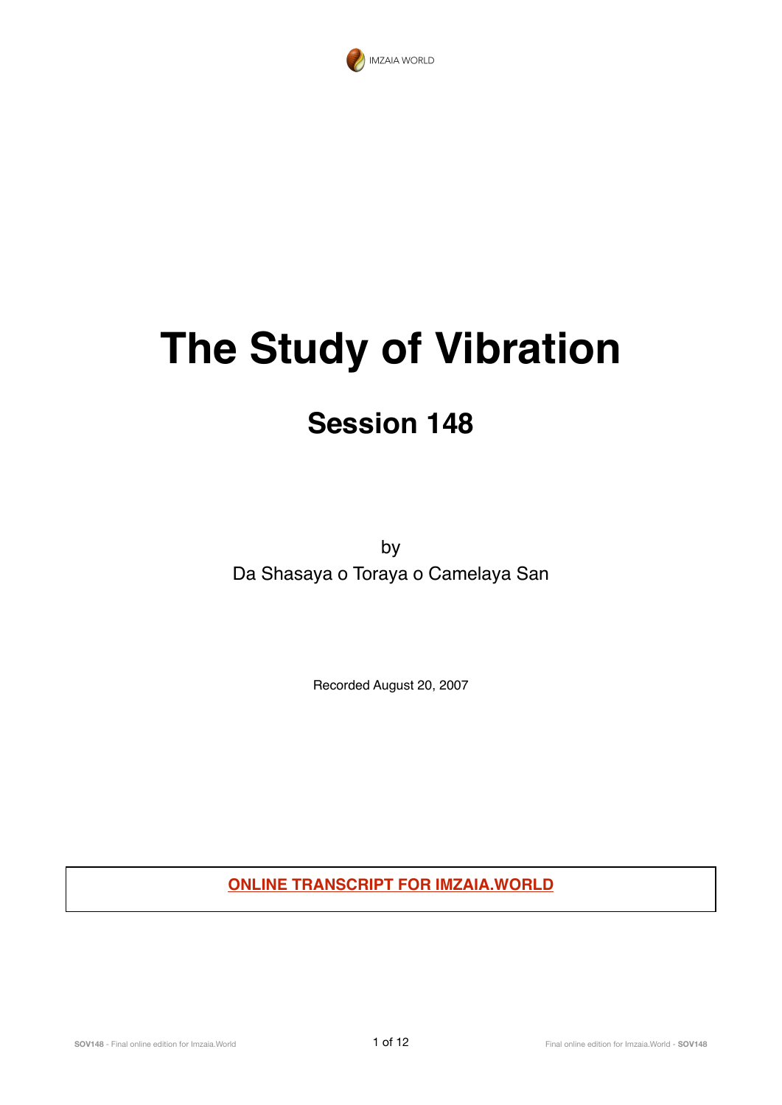

# **The Study of Vibration**

# **Session 148**

by Da Shasaya o Toraya o Camelaya San

Recorded August 20, 2007

**ONLINE TRANSCRIPT FOR IMZAIA.WORLD**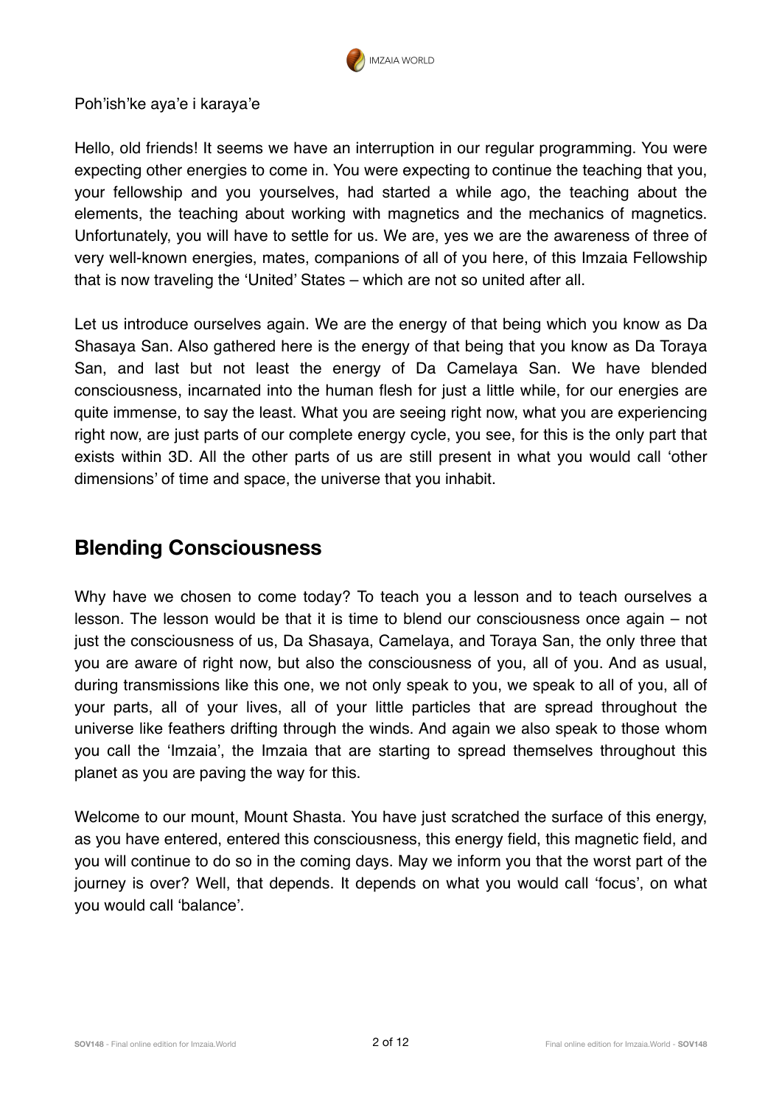

Poh'ish'ke aya'e i karaya'e

Hello, old friends! It seems we have an interruption in our regular programming. You were expecting other energies to come in. You were expecting to continue the teaching that you, your fellowship and you yourselves, had started a while ago, the teaching about the elements, the teaching about working with magnetics and the mechanics of magnetics. Unfortunately, you will have to settle for us. We are, yes we are the awareness of three of very well-known energies, mates, companions of all of you here, of this Imzaia Fellowship that is now traveling the 'United' States – which are not so united after all.

Let us introduce ourselves again. We are the energy of that being which you know as Da Shasaya San. Also gathered here is the energy of that being that you know as Da Toraya San, and last but not least the energy of Da Camelaya San. We have blended consciousness, incarnated into the human flesh for just a little while, for our energies are quite immense, to say the least. What you are seeing right now, what you are experiencing right now, are just parts of our complete energy cycle, you see, for this is the only part that exists within 3D. All the other parts of us are still present in what you would call 'other dimensions' of time and space, the universe that you inhabit.

#### **Blending Consciousness**

Why have we chosen to come today? To teach you a lesson and to teach ourselves a lesson. The lesson would be that it is time to blend our consciousness once again – not just the consciousness of us, Da Shasaya, Camelaya, and Toraya San, the only three that you are aware of right now, but also the consciousness of you, all of you. And as usual, during transmissions like this one, we not only speak to you, we speak to all of you, all of your parts, all of your lives, all of your little particles that are spread throughout the universe like feathers drifting through the winds. And again we also speak to those whom you call the 'Imzaia', the Imzaia that are starting to spread themselves throughout this planet as you are paving the way for this.

Welcome to our mount, Mount Shasta. You have just scratched the surface of this energy, as you have entered, entered this consciousness, this energy field, this magnetic field, and you will continue to do so in the coming days. May we inform you that the worst part of the journey is over? Well, that depends. It depends on what you would call 'focus', on what you would call 'balance'.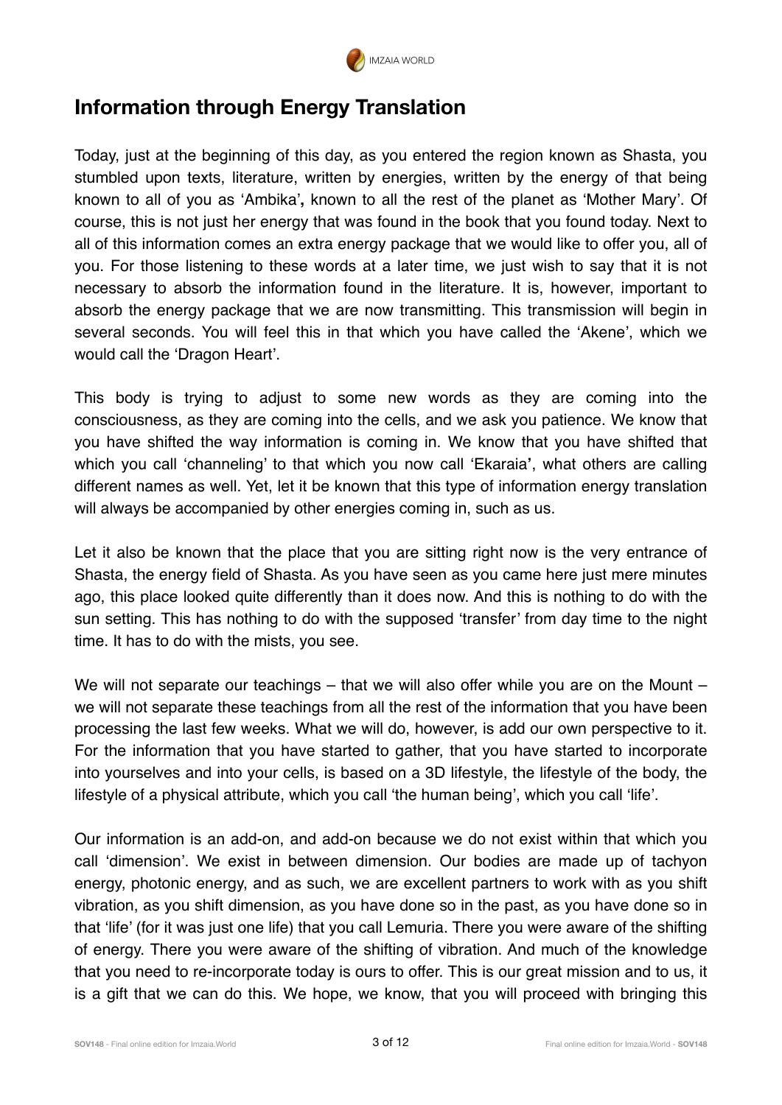

# **Information through Energy Translation**

Today, just at the beginning of this day, as you entered the region known as Shasta, you stumbled upon texts, literature, written by energies, written by the energy of that being known to all of you as 'Ambika'**,** known to all the rest of the planet as 'Mother Mary'. Of course, this is not just her energy that was found in the book that you found today. Next to all of this information comes an extra energy package that we would like to offer you, all of you. For those listening to these words at a later time, we just wish to say that it is not necessary to absorb the information found in the literature. It is, however, important to absorb the energy package that we are now transmitting. This transmission will begin in several seconds. You will feel this in that which you have called the 'Akene', which we would call the 'Dragon Heart'.

This body is trying to adjust to some new words as they are coming into the consciousness, as they are coming into the cells, and we ask you patience. We know that you have shifted the way information is coming in. We know that you have shifted that which you call 'channeling' to that which you now call 'Ekaraia**'**, what others are calling different names as well. Yet, let it be known that this type of information energy translation will always be accompanied by other energies coming in, such as us.

Let it also be known that the place that you are sitting right now is the very entrance of Shasta, the energy field of Shasta. As you have seen as you came here just mere minutes ago, this place looked quite differently than it does now. And this is nothing to do with the sun setting. This has nothing to do with the supposed 'transfer' from day time to the night time. It has to do with the mists, you see.

We will not separate our teachings – that we will also offer while you are on the Mount – we will not separate these teachings from all the rest of the information that you have been processing the last few weeks. What we will do, however, is add our own perspective to it. For the information that you have started to gather, that you have started to incorporate into yourselves and into your cells, is based on a 3D lifestyle, the lifestyle of the body, the lifestyle of a physical attribute, which you call 'the human being', which you call 'life'.

Our information is an add-on, and add-on because we do not exist within that which you call 'dimension'. We exist in between dimension. Our bodies are made up of tachyon energy, photonic energy, and as such, we are excellent partners to work with as you shift vibration, as you shift dimension, as you have done so in the past, as you have done so in that 'life' (for it was just one life) that you call Lemuria. There you were aware of the shifting of energy. There you were aware of the shifting of vibration. And much of the knowledge that you need to re-incorporate today is ours to offer. This is our great mission and to us, it is a gift that we can do this. We hope, we know, that you will proceed with bringing this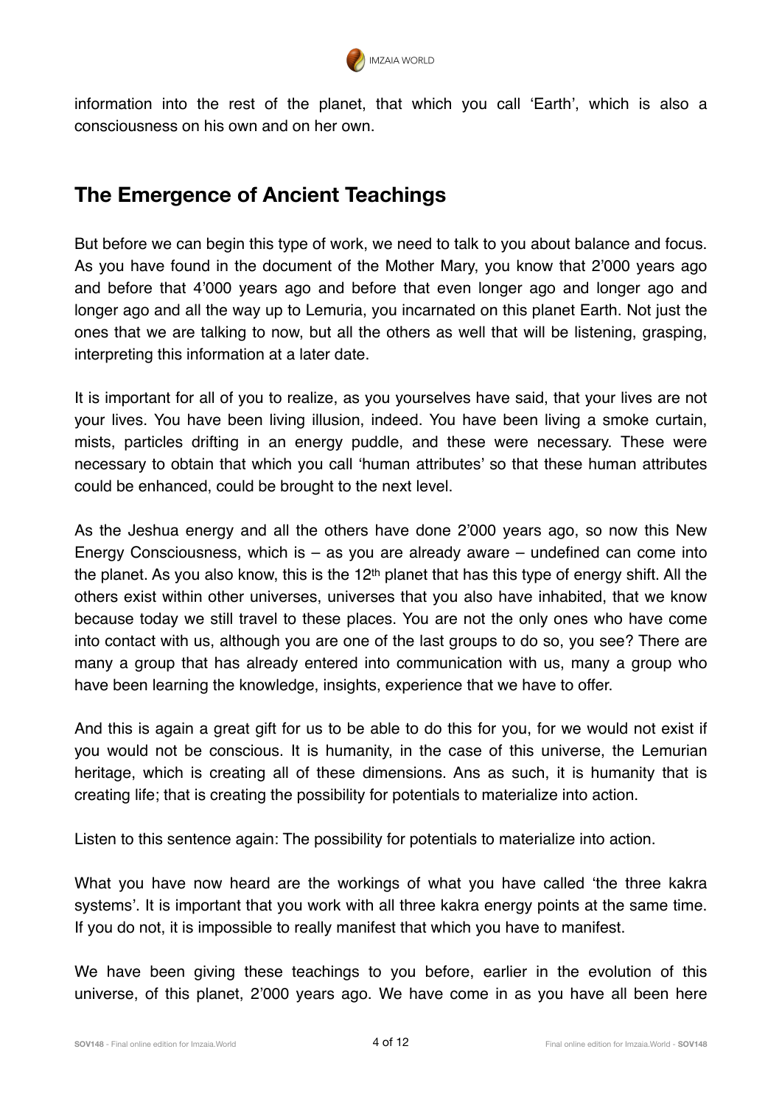

information into the rest of the planet, that which you call 'Earth', which is also a consciousness on his own and on her own.

## **The Emergence of Ancient Teachings**

But before we can begin this type of work, we need to talk to you about balance and focus. As you have found in the document of the Mother Mary, you know that 2'000 years ago and before that 4'000 years ago and before that even longer ago and longer ago and longer ago and all the way up to Lemuria, you incarnated on this planet Earth. Not just the ones that we are talking to now, but all the others as well that will be listening, grasping, interpreting this information at a later date.

It is important for all of you to realize, as you yourselves have said, that your lives are not your lives. You have been living illusion, indeed. You have been living a smoke curtain, mists, particles drifting in an energy puddle, and these were necessary. These were necessary to obtain that which you call 'human attributes' so that these human attributes could be enhanced, could be brought to the next level.

As the Jeshua energy and all the others have done 2'000 years ago, so now this New Energy Consciousness, which is – as you are already aware – undefined can come into the planet. As you also know, this is the 12<sup>th</sup> planet that has this type of energy shift. All the others exist within other universes, universes that you also have inhabited, that we know because today we still travel to these places. You are not the only ones who have come into contact with us, although you are one of the last groups to do so, you see? There are many a group that has already entered into communication with us, many a group who have been learning the knowledge, insights, experience that we have to offer.

And this is again a great gift for us to be able to do this for you, for we would not exist if you would not be conscious. It is humanity, in the case of this universe, the Lemurian heritage, which is creating all of these dimensions. Ans as such, it is humanity that is creating life; that is creating the possibility for potentials to materialize into action.

Listen to this sentence again: The possibility for potentials to materialize into action.

What you have now heard are the workings of what you have called 'the three kakra systems'. It is important that you work with all three kakra energy points at the same time. If you do not, it is impossible to really manifest that which you have to manifest.

We have been giving these teachings to you before, earlier in the evolution of this universe, of this planet, 2'000 years ago. We have come in as you have all been here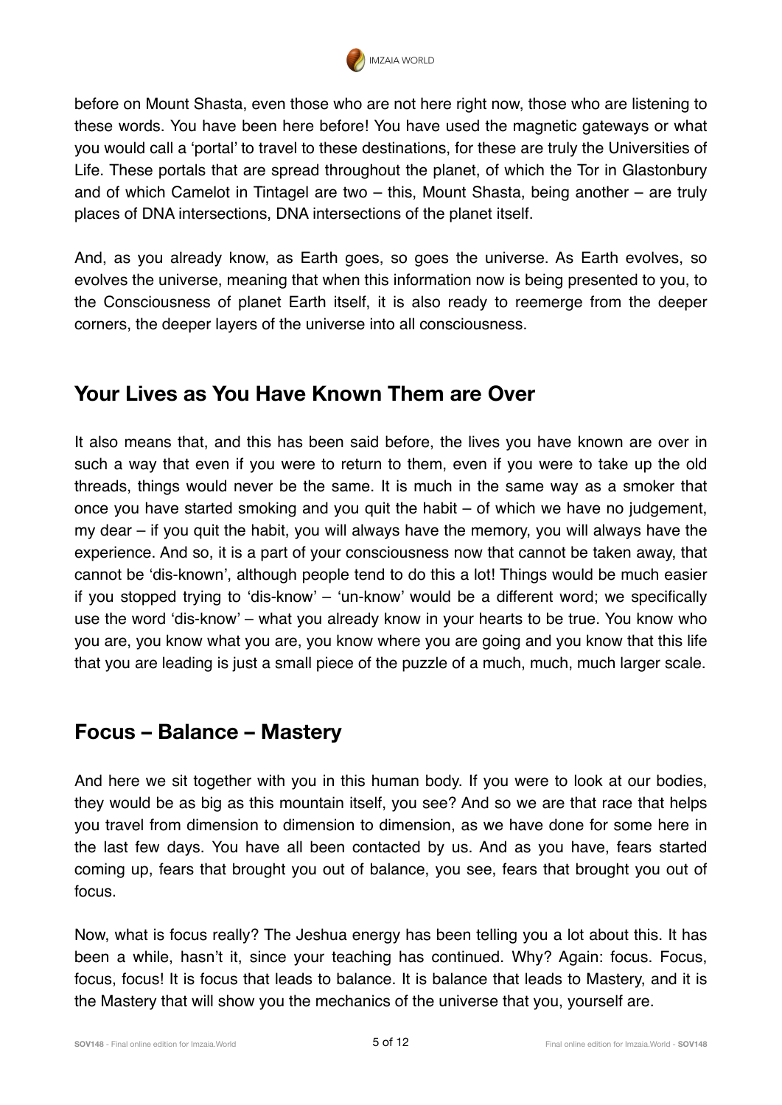

before on Mount Shasta, even those who are not here right now, those who are listening to these words. You have been here before! You have used the magnetic gateways or what you would call a 'portal' to travel to these destinations, for these are truly the Universities of Life. These portals that are spread throughout the planet, of which the Tor in Glastonbury and of which Camelot in Tintagel are two – this, Mount Shasta, being another – are truly places of DNA intersections, DNA intersections of the planet itself.

And, as you already know, as Earth goes, so goes the universe. As Earth evolves, so evolves the universe, meaning that when this information now is being presented to you, to the Consciousness of planet Earth itself, it is also ready to reemerge from the deeper corners, the deeper layers of the universe into all consciousness.

# **Your Lives as You Have Known Them are Over**

It also means that, and this has been said before, the lives you have known are over in such a way that even if you were to return to them, even if you were to take up the old threads, things would never be the same. It is much in the same way as a smoker that once you have started smoking and you quit the habit – of which we have no judgement, my dear – if you quit the habit, you will always have the memory, you will always have the experience. And so, it is a part of your consciousness now that cannot be taken away, that cannot be 'dis-known', although people tend to do this a lot! Things would be much easier if you stopped trying to 'dis-know' – 'un-know' would be a different word; we specifically use the word 'dis-know' – what you already know in your hearts to be true. You know who you are, you know what you are, you know where you are going and you know that this life that you are leading is just a small piece of the puzzle of a much, much, much larger scale.

#### **Focus – Balance – Mastery**

And here we sit together with you in this human body. If you were to look at our bodies, they would be as big as this mountain itself, you see? And so we are that race that helps you travel from dimension to dimension to dimension, as we have done for some here in the last few days. You have all been contacted by us. And as you have, fears started coming up, fears that brought you out of balance, you see, fears that brought you out of focus.

Now, what is focus really? The Jeshua energy has been telling you a lot about this. It has been a while, hasn't it, since your teaching has continued. Why? Again: focus. Focus, focus, focus! It is focus that leads to balance. It is balance that leads to Mastery, and it is the Mastery that will show you the mechanics of the universe that you, yourself are.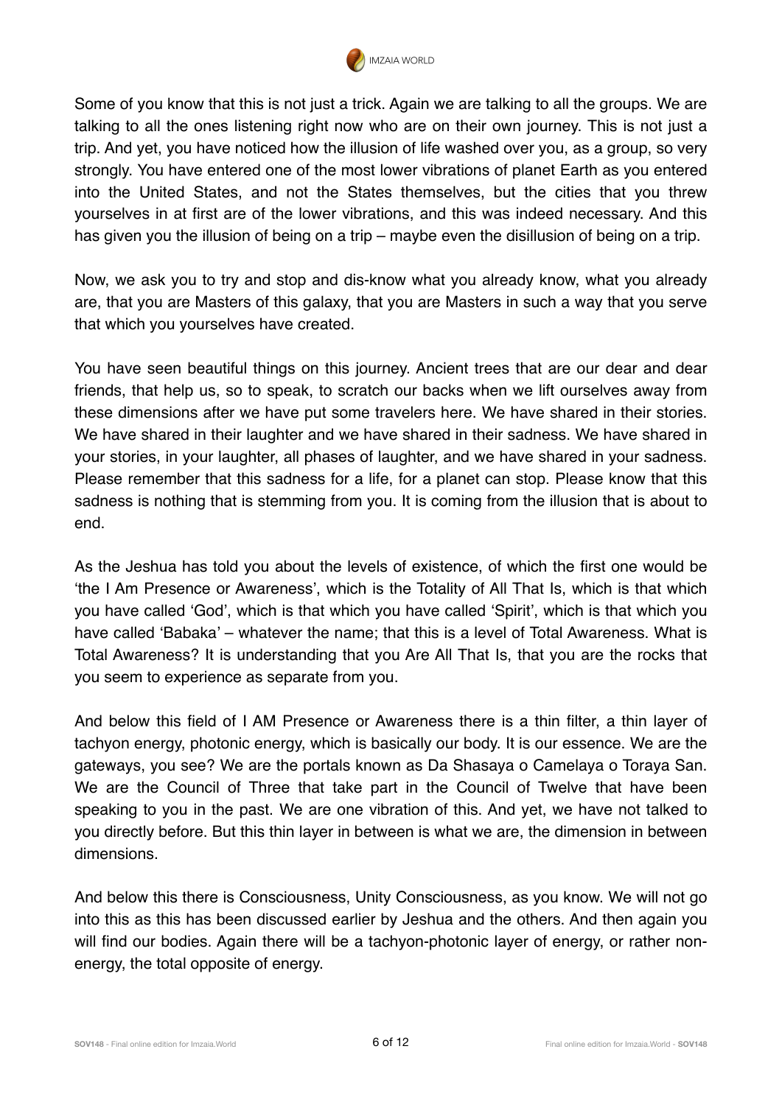

Some of you know that this is not just a trick. Again we are talking to all the groups. We are talking to all the ones listening right now who are on their own journey. This is not just a trip. And yet, you have noticed how the illusion of life washed over you, as a group, so very strongly. You have entered one of the most lower vibrations of planet Earth as you entered into the United States, and not the States themselves, but the cities that you threw yourselves in at first are of the lower vibrations, and this was indeed necessary. And this has given you the illusion of being on a trip – maybe even the disillusion of being on a trip.

Now, we ask you to try and stop and dis-know what you already know, what you already are, that you are Masters of this galaxy, that you are Masters in such a way that you serve that which you yourselves have created.

You have seen beautiful things on this journey. Ancient trees that are our dear and dear friends, that help us, so to speak, to scratch our backs when we lift ourselves away from these dimensions after we have put some travelers here. We have shared in their stories. We have shared in their laughter and we have shared in their sadness. We have shared in your stories, in your laughter, all phases of laughter, and we have shared in your sadness. Please remember that this sadness for a life, for a planet can stop. Please know that this sadness is nothing that is stemming from you. It is coming from the illusion that is about to end.

As the Jeshua has told you about the levels of existence, of which the first one would be 'the I Am Presence or Awareness', which is the Totality of All That Is, which is that which you have called 'God', which is that which you have called 'Spirit', which is that which you have called 'Babaka' – whatever the name; that this is a level of Total Awareness. What is Total Awareness? It is understanding that you Are All That Is, that you are the rocks that you seem to experience as separate from you.

And below this field of I AM Presence or Awareness there is a thin filter, a thin layer of tachyon energy, photonic energy, which is basically our body. It is our essence. We are the gateways, you see? We are the portals known as Da Shasaya o Camelaya o Toraya San. We are the Council of Three that take part in the Council of Twelve that have been speaking to you in the past. We are one vibration of this. And yet, we have not talked to you directly before. But this thin layer in between is what we are, the dimension in between dimensions.

And below this there is Consciousness, Unity Consciousness, as you know. We will not go into this as this has been discussed earlier by Jeshua and the others. And then again you will find our bodies. Again there will be a tachyon-photonic layer of energy, or rather nonenergy, the total opposite of energy.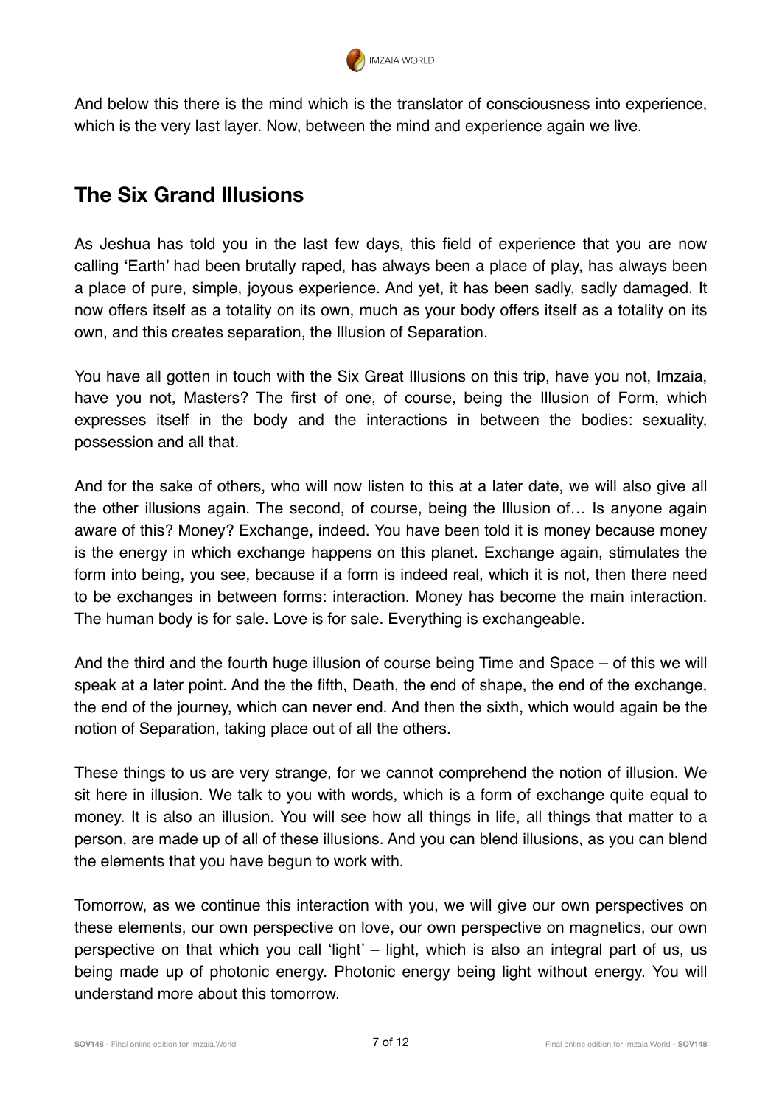

And below this there is the mind which is the translator of consciousness into experience, which is the very last layer. Now, between the mind and experience again we live.

# **The Six Grand Illusions**

As Jeshua has told you in the last few days, this field of experience that you are now calling 'Earth' had been brutally raped, has always been a place of play, has always been a place of pure, simple, joyous experience. And yet, it has been sadly, sadly damaged. It now offers itself as a totality on its own, much as your body offers itself as a totality on its own, and this creates separation, the Illusion of Separation.

You have all gotten in touch with the Six Great Illusions on this trip, have you not, Imzaia, have you not, Masters? The first of one, of course, being the Illusion of Form, which expresses itself in the body and the interactions in between the bodies: sexuality, possession and all that.

And for the sake of others, who will now listen to this at a later date, we will also give all the other illusions again. The second, of course, being the Illusion of… Is anyone again aware of this? Money? Exchange, indeed. You have been told it is money because money is the energy in which exchange happens on this planet. Exchange again, stimulates the form into being, you see, because if a form is indeed real, which it is not, then there need to be exchanges in between forms: interaction. Money has become the main interaction. The human body is for sale. Love is for sale. Everything is exchangeable.

And the third and the fourth huge illusion of course being Time and Space – of this we will speak at a later point. And the the fifth, Death, the end of shape, the end of the exchange, the end of the journey, which can never end. And then the sixth, which would again be the notion of Separation, taking place out of all the others.

These things to us are very strange, for we cannot comprehend the notion of illusion. We sit here in illusion. We talk to you with words, which is a form of exchange quite equal to money. It is also an illusion. You will see how all things in life, all things that matter to a person, are made up of all of these illusions. And you can blend illusions, as you can blend the elements that you have begun to work with.

Tomorrow, as we continue this interaction with you, we will give our own perspectives on these elements, our own perspective on love, our own perspective on magnetics, our own perspective on that which you call 'light' – light, which is also an integral part of us, us being made up of photonic energy. Photonic energy being light without energy. You will understand more about this tomorrow.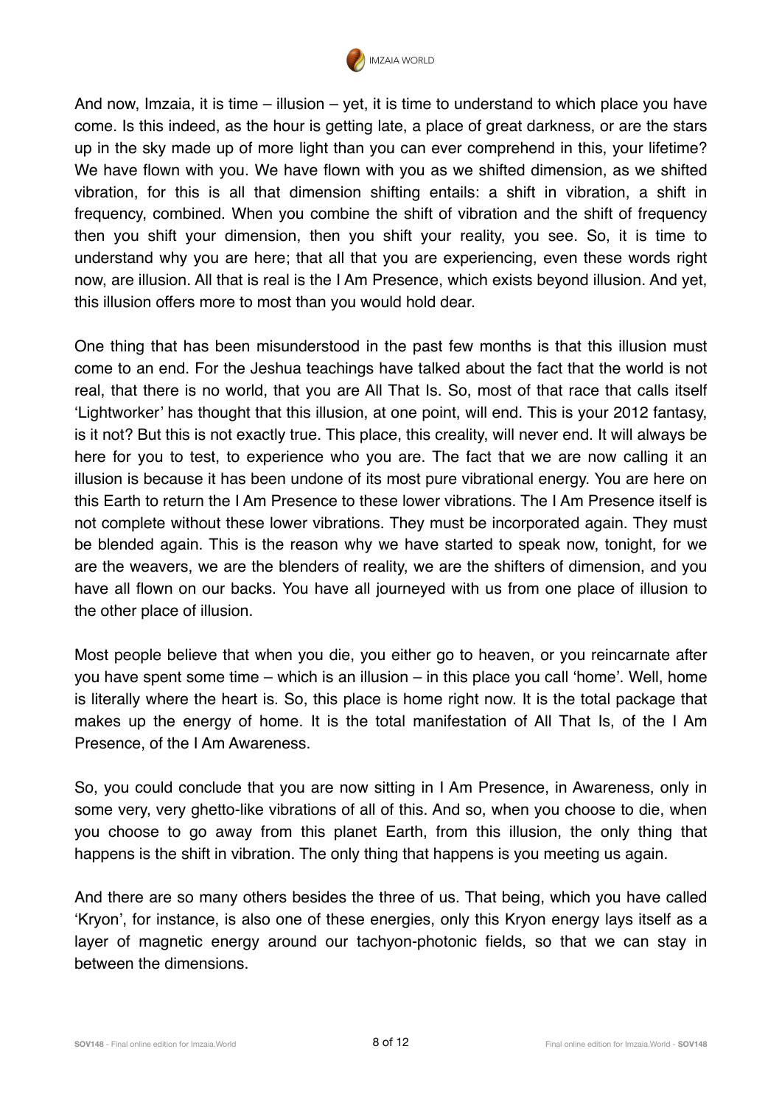

And now, Imzaia, it is time – illusion – yet, it is time to understand to which place you have come. Is this indeed, as the hour is getting late, a place of great darkness, or are the stars up in the sky made up of more light than you can ever comprehend in this, your lifetime? We have flown with you. We have flown with you as we shifted dimension, as we shifted vibration, for this is all that dimension shifting entails: a shift in vibration, a shift in frequency, combined. When you combine the shift of vibration and the shift of frequency then you shift your dimension, then you shift your reality, you see. So, it is time to understand why you are here; that all that you are experiencing, even these words right now, are illusion. All that is real is the I Am Presence, which exists beyond illusion. And yet, this illusion offers more to most than you would hold dear.

One thing that has been misunderstood in the past few months is that this illusion must come to an end. For the Jeshua teachings have talked about the fact that the world is not real, that there is no world, that you are All That Is. So, most of that race that calls itself 'Lightworker' has thought that this illusion, at one point, will end. This is your 2012 fantasy, is it not? But this is not exactly true. This place, this creality, will never end. It will always be here for you to test, to experience who you are. The fact that we are now calling it an illusion is because it has been undone of its most pure vibrational energy. You are here on this Earth to return the I Am Presence to these lower vibrations. The I Am Presence itself is not complete without these lower vibrations. They must be incorporated again. They must be blended again. This is the reason why we have started to speak now, tonight, for we are the weavers, we are the blenders of reality, we are the shifters of dimension, and you have all flown on our backs. You have all journeyed with us from one place of illusion to the other place of illusion.

Most people believe that when you die, you either go to heaven, or you reincarnate after you have spent some time – which is an illusion – in this place you call 'home'. Well, home is literally where the heart is. So, this place is home right now. It is the total package that makes up the energy of home. It is the total manifestation of All That Is, of the I Am Presence, of the I Am Awareness.

So, you could conclude that you are now sitting in I Am Presence, in Awareness, only in some very, very ghetto-like vibrations of all of this. And so, when you choose to die, when you choose to go away from this planet Earth, from this illusion, the only thing that happens is the shift in vibration. The only thing that happens is you meeting us again.

And there are so many others besides the three of us. That being, which you have called 'Kryon', for instance, is also one of these energies, only this Kryon energy lays itself as a layer of magnetic energy around our tachyon-photonic fields, so that we can stay in between the dimensions.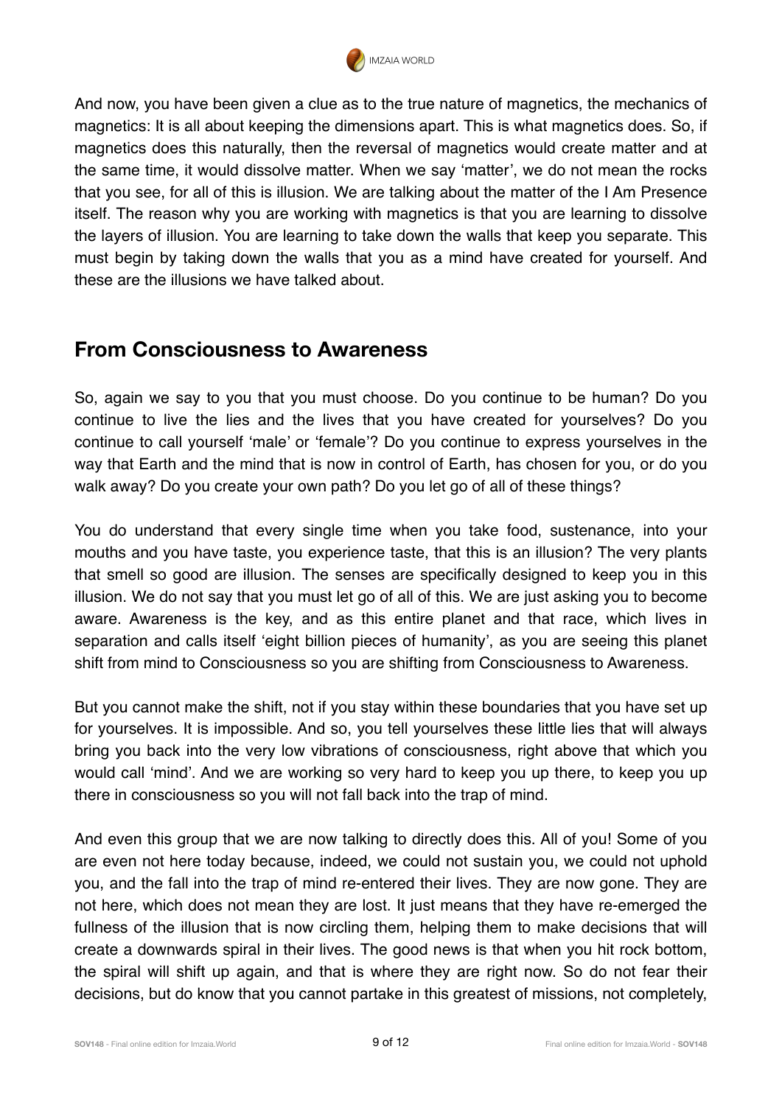

And now, you have been given a clue as to the true nature of magnetics, the mechanics of magnetics: It is all about keeping the dimensions apart. This is what magnetics does. So, if magnetics does this naturally, then the reversal of magnetics would create matter and at the same time, it would dissolve matter. When we say 'matter', we do not mean the rocks that you see, for all of this is illusion. We are talking about the matter of the I Am Presence itself. The reason why you are working with magnetics is that you are learning to dissolve the layers of illusion. You are learning to take down the walls that keep you separate. This must begin by taking down the walls that you as a mind have created for yourself. And these are the illusions we have talked about.

#### **From Consciousness to Awareness**

So, again we say to you that you must choose. Do you continue to be human? Do you continue to live the lies and the lives that you have created for yourselves? Do you continue to call yourself 'male' or 'female'? Do you continue to express yourselves in the way that Earth and the mind that is now in control of Earth, has chosen for you, or do you walk away? Do you create your own path? Do you let go of all of these things?

You do understand that every single time when you take food, sustenance, into your mouths and you have taste, you experience taste, that this is an illusion? The very plants that smell so good are illusion. The senses are specifically designed to keep you in this illusion. We do not say that you must let go of all of this. We are just asking you to become aware. Awareness is the key, and as this entire planet and that race, which lives in separation and calls itself 'eight billion pieces of humanity', as you are seeing this planet shift from mind to Consciousness so you are shifting from Consciousness to Awareness.

But you cannot make the shift, not if you stay within these boundaries that you have set up for yourselves. It is impossible. And so, you tell yourselves these little lies that will always bring you back into the very low vibrations of consciousness, right above that which you would call 'mind'. And we are working so very hard to keep you up there, to keep you up there in consciousness so you will not fall back into the trap of mind.

And even this group that we are now talking to directly does this. All of you! Some of you are even not here today because, indeed, we could not sustain you, we could not uphold you, and the fall into the trap of mind re-entered their lives. They are now gone. They are not here, which does not mean they are lost. It just means that they have re-emerged the fullness of the illusion that is now circling them, helping them to make decisions that will create a downwards spiral in their lives. The good news is that when you hit rock bottom, the spiral will shift up again, and that is where they are right now. So do not fear their decisions, but do know that you cannot partake in this greatest of missions, not completely,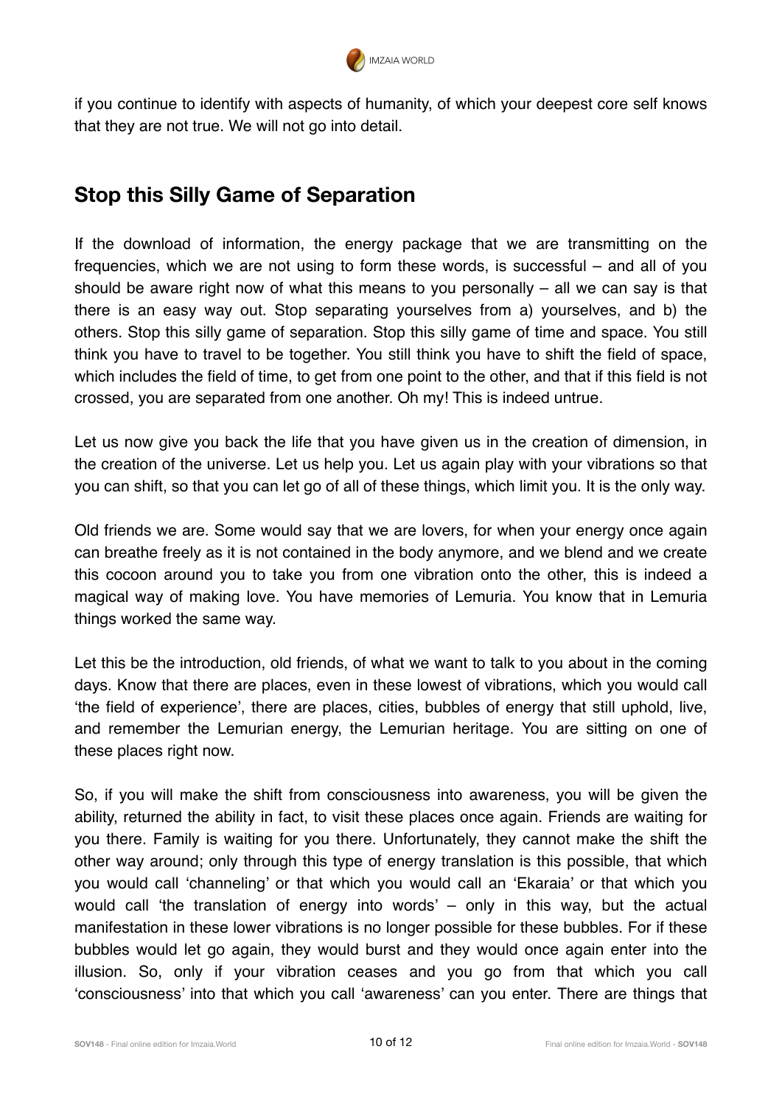

if you continue to identify with aspects of humanity, of which your deepest core self knows that they are not true. We will not go into detail.

# **Stop this Silly Game of Separation**

If the download of information, the energy package that we are transmitting on the frequencies, which we are not using to form these words, is successful – and all of you should be aware right now of what this means to you personally – all we can say is that there is an easy way out. Stop separating yourselves from a) yourselves, and b) the others. Stop this silly game of separation. Stop this silly game of time and space. You still think you have to travel to be together. You still think you have to shift the field of space, which includes the field of time, to get from one point to the other, and that if this field is not crossed, you are separated from one another. Oh my! This is indeed untrue.

Let us now give you back the life that you have given us in the creation of dimension, in the creation of the universe. Let us help you. Let us again play with your vibrations so that you can shift, so that you can let go of all of these things, which limit you. It is the only way.

Old friends we are. Some would say that we are lovers, for when your energy once again can breathe freely as it is not contained in the body anymore, and we blend and we create this cocoon around you to take you from one vibration onto the other, this is indeed a magical way of making love. You have memories of Lemuria. You know that in Lemuria things worked the same way.

Let this be the introduction, old friends, of what we want to talk to you about in the coming days. Know that there are places, even in these lowest of vibrations, which you would call 'the field of experience', there are places, cities, bubbles of energy that still uphold, live, and remember the Lemurian energy, the Lemurian heritage. You are sitting on one of these places right now.

So, if you will make the shift from consciousness into awareness, you will be given the ability, returned the ability in fact, to visit these places once again. Friends are waiting for you there. Family is waiting for you there. Unfortunately, they cannot make the shift the other way around; only through this type of energy translation is this possible, that which you would call 'channeling' or that which you would call an 'Ekaraia' or that which you would call 'the translation of energy into words' – only in this way, but the actual manifestation in these lower vibrations is no longer possible for these bubbles. For if these bubbles would let go again, they would burst and they would once again enter into the illusion. So, only if your vibration ceases and you go from that which you call 'consciousness' into that which you call 'awareness' can you enter. There are things that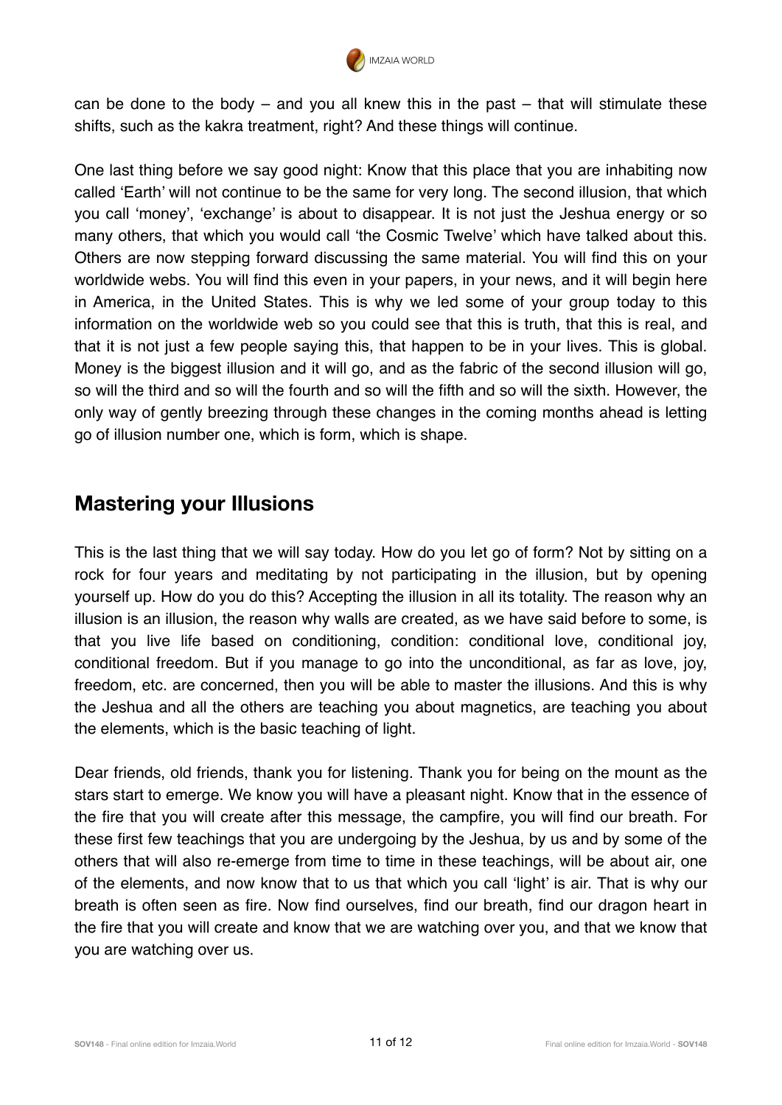

can be done to the body – and you all knew this in the past – that will stimulate these shifts, such as the kakra treatment, right? And these things will continue.

One last thing before we say good night: Know that this place that you are inhabiting now called 'Earth' will not continue to be the same for very long. The second illusion, that which you call 'money', 'exchange' is about to disappear. It is not just the Jeshua energy or so many others, that which you would call 'the Cosmic Twelve' which have talked about this. Others are now stepping forward discussing the same material. You will find this on your worldwide webs. You will find this even in your papers, in your news, and it will begin here in America, in the United States. This is why we led some of your group today to this information on the worldwide web so you could see that this is truth, that this is real, and that it is not just a few people saying this, that happen to be in your lives. This is global. Money is the biggest illusion and it will go, and as the fabric of the second illusion will go, so will the third and so will the fourth and so will the fifth and so will the sixth. However, the only way of gently breezing through these changes in the coming months ahead is letting go of illusion number one, which is form, which is shape.

#### **Mastering your Illusions**

This is the last thing that we will say today. How do you let go of form? Not by sitting on a rock for four years and meditating by not participating in the illusion, but by opening yourself up. How do you do this? Accepting the illusion in all its totality. The reason why an illusion is an illusion, the reason why walls are created, as we have said before to some, is that you live life based on conditioning, condition: conditional love, conditional joy, conditional freedom. But if you manage to go into the unconditional, as far as love, joy, freedom, etc. are concerned, then you will be able to master the illusions. And this is why the Jeshua and all the others are teaching you about magnetics, are teaching you about the elements, which is the basic teaching of light.

Dear friends, old friends, thank you for listening. Thank you for being on the mount as the stars start to emerge. We know you will have a pleasant night. Know that in the essence of the fire that you will create after this message, the campfire, you will find our breath. For these first few teachings that you are undergoing by the Jeshua, by us and by some of the others that will also re-emerge from time to time in these teachings, will be about air, one of the elements, and now know that to us that which you call 'light' is air. That is why our breath is often seen as fire. Now find ourselves, find our breath, find our dragon heart in the fire that you will create and know that we are watching over you, and that we know that you are watching over us.